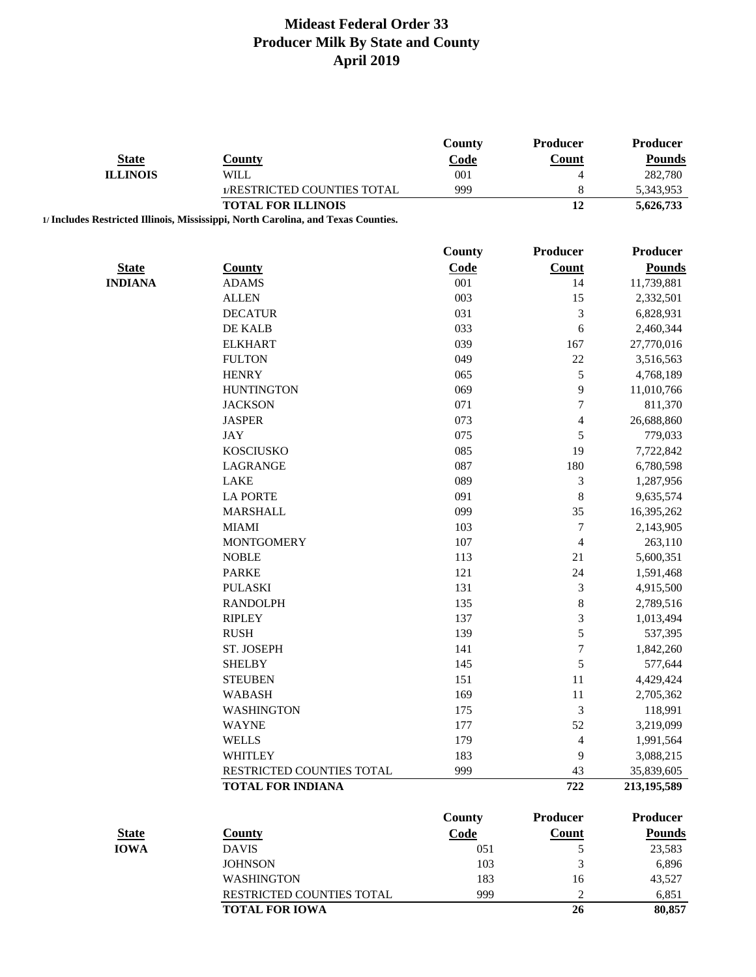|                 |                                                                                   | County        | Producer                    | Producer        |
|-----------------|-----------------------------------------------------------------------------------|---------------|-----------------------------|-----------------|
| <b>State</b>    | <b>County</b>                                                                     | Code          | <b>Count</b>                | <b>Pounds</b>   |
| <b>ILLINOIS</b> | <b>WILL</b>                                                                       | 001           | 4                           | 282,780         |
|                 | 1/RESTRICTED COUNTIES TOTAL                                                       | 999           | $\,$ 8 $\,$                 | 5,343,953       |
|                 | <b>TOTAL FOR ILLINOIS</b>                                                         |               | 12                          | 5,626,733       |
|                 | 1/ Includes Restricted Illinois, Mississippi, North Carolina, and Texas Counties. |               |                             |                 |
|                 |                                                                                   | County        | Producer                    | Producer        |
| <b>State</b>    | <b>County</b>                                                                     | Code          | <b>Count</b>                | <b>Pounds</b>   |
| <b>INDIANA</b>  | <b>ADAMS</b>                                                                      | 001           | 14                          | 11,739,881      |
|                 | <b>ALLEN</b>                                                                      | 003           | 15                          | 2,332,501       |
|                 | <b>DECATUR</b>                                                                    | 031           | $\mathfrak{Z}$              | 6,828,931       |
|                 | DE KALB                                                                           | 033           | 6                           | 2,460,344       |
|                 | <b>ELKHART</b>                                                                    | 039           | 167                         | 27,770,016      |
|                 | <b>FULTON</b>                                                                     | 049           | 22                          | 3,516,563       |
|                 | <b>HENRY</b>                                                                      | 065           | $\sqrt{5}$                  | 4,768,189       |
|                 | <b>HUNTINGTON</b>                                                                 | 069           | 9                           | 11,010,766      |
|                 | <b>JACKSON</b>                                                                    | 071           | $\boldsymbol{7}$            | 811,370         |
|                 | <b>JASPER</b>                                                                     | 073           | $\overline{4}$              | 26,688,860      |
|                 | <b>JAY</b>                                                                        | 075           | 5                           | 779,033         |
|                 | <b>KOSCIUSKO</b>                                                                  | 085           | 19                          | 7,722,842       |
|                 | LAGRANGE                                                                          | 087           | 180                         | 6,780,598       |
|                 | <b>LAKE</b>                                                                       | 089           | $\ensuremath{\mathfrak{Z}}$ | 1,287,956       |
|                 | <b>LA PORTE</b>                                                                   | 091           | $\,8\,$                     | 9,635,574       |
|                 | <b>MARSHALL</b>                                                                   | 099           | 35                          | 16,395,262      |
|                 | <b>MIAMI</b>                                                                      | 103           | $\boldsymbol{7}$            | 2,143,905       |
|                 | <b>MONTGOMERY</b>                                                                 | 107           | $\overline{4}$              | 263,110         |
|                 | <b>NOBLE</b>                                                                      | 113           | 21                          | 5,600,351       |
|                 | <b>PARKE</b>                                                                      | 121           | 24                          | 1,591,468       |
|                 | <b>PULASKI</b>                                                                    | 131           | $\ensuremath{\mathfrak{Z}}$ | 4,915,500       |
|                 | <b>RANDOLPH</b>                                                                   | 135           | $\,$ 8 $\,$                 | 2,789,516       |
|                 | <b>RIPLEY</b>                                                                     | 137           | $\sqrt{3}$                  | 1,013,494       |
|                 | <b>RUSH</b>                                                                       | 139           | 5                           | 537,395         |
|                 | ST. JOSEPH                                                                        | 141           | $\boldsymbol{7}$            | 1,842,260       |
|                 | <b>SHELBY</b>                                                                     | 145           | 5                           | 577,644         |
|                 | <b>STEUBEN</b>                                                                    | 151           | 11                          | 4,429,424       |
|                 | <b>WABASH</b>                                                                     | 169           | 11                          | 2,705,362       |
|                 | <b>WASHINGTON</b>                                                                 | 175           | $\mathfrak{Z}$              | 118,991         |
|                 | <b>WAYNE</b>                                                                      | 177           | 52                          | 3,219,099       |
|                 | <b>WELLS</b>                                                                      | 179           | 4                           | 1,991,564       |
|                 | <b>WHITLEY</b>                                                                    | 183           | 9                           | 3,088,215       |
|                 | RESTRICTED COUNTIES TOTAL                                                         | 999           | 43                          | 35,839,605      |
|                 | <b>TOTAL FOR INDIANA</b>                                                          |               | 722                         | 213,195,589     |
|                 |                                                                                   |               |                             |                 |
|                 |                                                                                   | <b>County</b> | <b>Producer</b>             | <b>Producer</b> |
| <b>State</b>    | <b>County</b>                                                                     | Code          | Count                       | <b>Pounds</b>   |
| <b>IOWA</b>     | <b>DAVIS</b>                                                                      | 051           | $\sqrt{5}$                  | 23,583          |
|                 | <b>JOHNSON</b>                                                                    | 103           | $\mathfrak{Z}$              | 6,896           |
|                 | <b>WASHINGTON</b>                                                                 | 183           | 16                          | 43,527          |
|                 | RESTRICTED COUNTIES TOTAL                                                         | 999           | $\overline{c}$              | 6,851           |

**TOTAL FOR IOWA 26 80,857**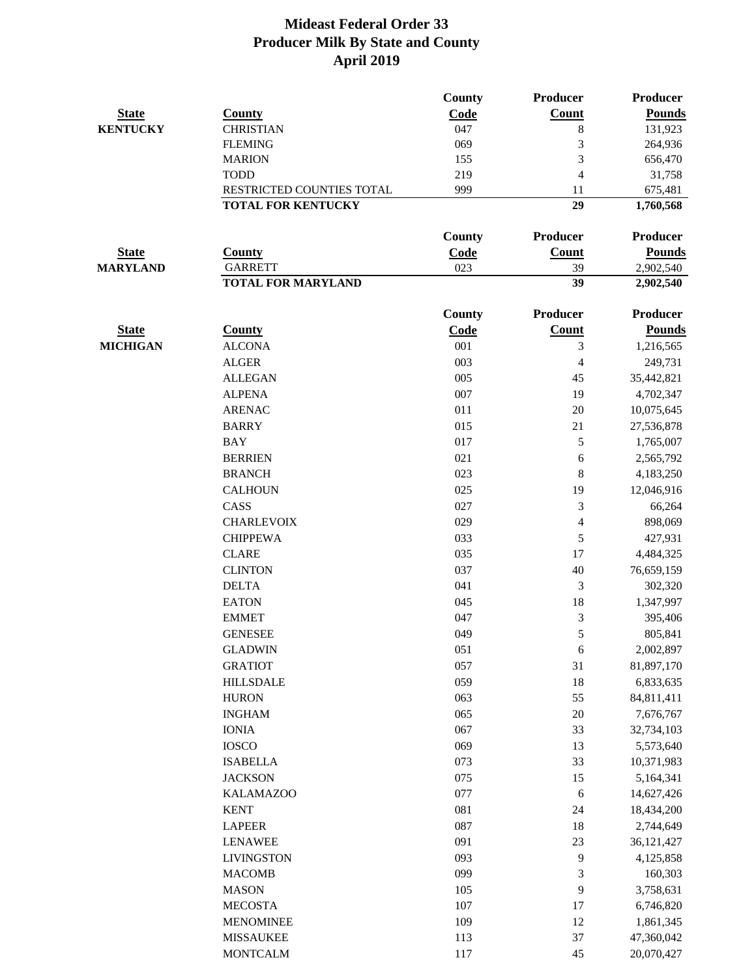|                 |                           | County        | Producer                 | <b>Producer</b> |
|-----------------|---------------------------|---------------|--------------------------|-----------------|
| <b>State</b>    | <b>County</b>             | Code          | Count                    | <b>Pounds</b>   |
| <b>KENTUCKY</b> | <b>CHRISTIAN</b>          | 047           | 8                        | 131,923         |
|                 | <b>FLEMING</b>            | 069           | 3                        | 264,936         |
|                 | <b>MARION</b>             | 155           | 3                        | 656,470         |
|                 | <b>TODD</b>               | 219           | $\overline{\mathcal{A}}$ | 31,758          |
|                 | RESTRICTED COUNTIES TOTAL | 999           | 11                       | 675,481         |
|                 | <b>TOTAL FOR KENTUCKY</b> |               | 29                       | 1,760,568       |
|                 |                           | <b>County</b> | Producer                 | <b>Producer</b> |
| <b>State</b>    | <b>County</b>             | Code          | <b>Count</b>             | <b>Pounds</b>   |
| <b>MARYLAND</b> | <b>GARRETT</b>            | 023           | 39                       | 2,902,540       |
|                 | <b>TOTAL FOR MARYLAND</b> |               | 39                       | 2,902,540       |
|                 |                           | <b>County</b> | <b>Producer</b>          | <b>Producer</b> |
| <b>State</b>    | <b>County</b>             | Code          | <b>Count</b>             | <b>Pounds</b>   |
| <b>MICHIGAN</b> | <b>ALCONA</b>             | 001           | 3                        | 1,216,565       |
|                 | <b>ALGER</b>              | 003           | $\overline{4}$           | 249,731         |
|                 | <b>ALLEGAN</b>            | 005           | 45                       | 35,442,821      |
|                 | <b>ALPENA</b>             | 007           | 19                       | 4,702,347       |
|                 | <b>ARENAC</b>             | 011           | 20                       | 10,075,645      |
|                 | <b>BARRY</b>              | 015           | 21                       | 27,536,878      |
|                 | <b>BAY</b>                | 017           | 5                        |                 |
|                 |                           |               |                          | 1,765,007       |
|                 | <b>BERRIEN</b>            | 021<br>023    | 6                        | 2,565,792       |
|                 | <b>BRANCH</b>             |               | 8                        | 4,183,250       |
|                 | <b>CALHOUN</b>            | 025           | 19                       | 12,046,916      |
|                 | CASS                      | 027           | 3                        | 66,264          |
|                 | <b>CHARLEVOIX</b>         | 029           | $\overline{4}$           | 898,069         |
|                 | <b>CHIPPEWA</b>           | 033           | 5                        | 427,931         |
|                 | <b>CLARE</b>              | 035           | 17                       | 4,484,325       |
|                 | <b>CLINTON</b>            | 037           | 40                       | 76,659,159      |
|                 | <b>DELTA</b>              | 041           | $\mathfrak{Z}$           | 302,320         |
|                 | <b>EATON</b>              | 045           | 18                       | 1,347,997       |
|                 | <b>EMMET</b>              | 047           | $\mathfrak{Z}$           | 395,406         |
|                 | <b>GENESEE</b>            | 049           | 5                        | 805,841         |
|                 | <b>GLADWIN</b>            | 051           | 6                        | 2,002,897       |
|                 | <b>GRATIOT</b>            | 057           | 31                       | 81,897,170      |
|                 | <b>HILLSDALE</b>          | 059           | 18                       | 6,833,635       |
|                 | <b>HURON</b>              | 063           | 55                       | 84,811,411      |
|                 | <b>INGHAM</b>             | 065           | 20                       | 7,676,767       |
|                 | <b>IONIA</b>              | 067           | 33                       | 32,734,103      |
|                 | <b>IOSCO</b>              | 069           | 13                       | 5,573,640       |
|                 | <b>ISABELLA</b>           | 073           | 33                       | 10,371,983      |
|                 | <b>JACKSON</b>            | 075           | 15                       | 5,164,341       |
|                 | <b>KALAMAZOO</b>          | 077           | $\sqrt{6}$               | 14,627,426      |
|                 | <b>KENT</b>               | 081           | 24                       | 18,434,200      |
|                 | <b>LAPEER</b>             | 087           | 18                       | 2,744,649       |
|                 | <b>LENAWEE</b>            | 091           | $23\,$                   | 36,121,427      |
|                 | <b>LIVINGSTON</b>         | 093           | $\overline{9}$           | 4,125,858       |
|                 | <b>MACOMB</b>             | 099           | $\mathfrak{Z}$           | 160,303         |
|                 | <b>MASON</b>              | 105           | 9                        | 3,758,631       |
|                 | <b>MECOSTA</b>            | 107           | 17                       | 6,746,820       |
|                 | <b>MENOMINEE</b>          | 109           | 12                       | 1,861,345       |
|                 | <b>MISSAUKEE</b>          | 113           | 37                       | 47,360,042      |
|                 | <b>MONTCALM</b>           | 117           | 45                       | 20,070,427      |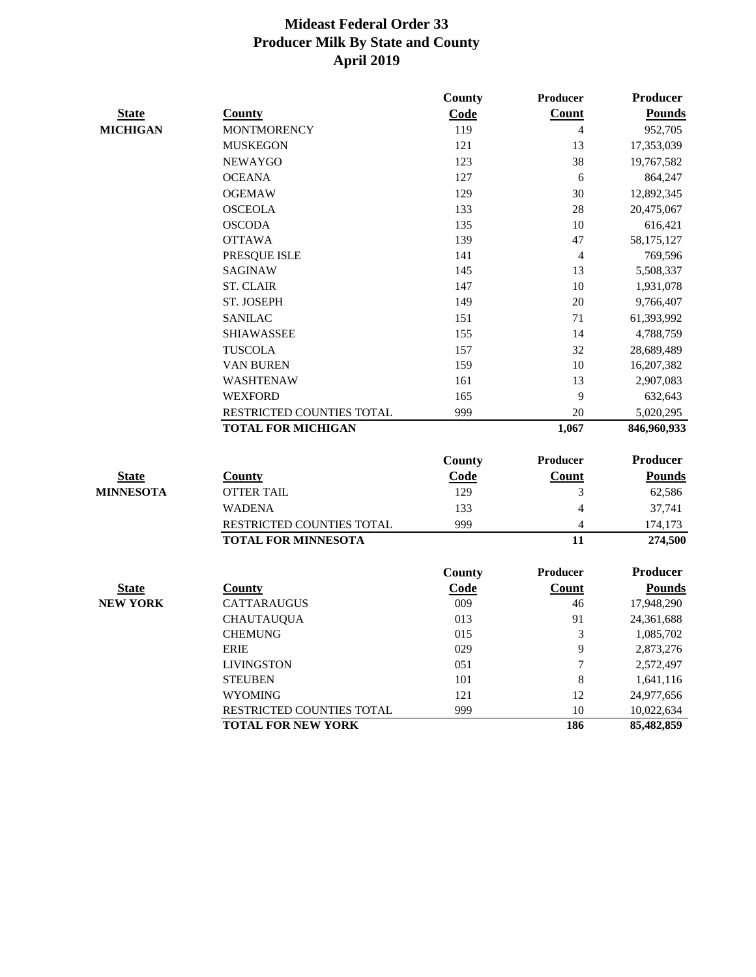|                  |                            | County | Producer        | <b>Producer</b> |
|------------------|----------------------------|--------|-----------------|-----------------|
| <b>State</b>     | <b>County</b>              | Code   | Count           | <b>Pounds</b>   |
| <b>MICHIGAN</b>  | <b>MONTMORENCY</b>         | 119    | 4               | 952,705         |
|                  | <b>MUSKEGON</b>            | 121    | 13              | 17,353,039      |
|                  | <b>NEWAYGO</b>             | 123    | 38              | 19,767,582      |
|                  | <b>OCEANA</b>              | 127    | 6               | 864,247         |
|                  | <b>OGEMAW</b>              | 129    | 30              | 12,892,345      |
|                  | <b>OSCEOLA</b>             | 133    | 28              | 20,475,067      |
|                  | <b>OSCODA</b>              | 135    | 10              | 616,421         |
|                  | <b>OTTAWA</b>              | 139    | 47              | 58,175,127      |
|                  | PRESQUE ISLE               | 141    | $\overline{4}$  | 769,596         |
|                  | <b>SAGINAW</b>             | 145    | 13              | 5,508,337       |
|                  | <b>ST. CLAIR</b>           | 147    | 10              | 1,931,078       |
|                  | ST. JOSEPH                 | 149    | 20              | 9,766,407       |
|                  | <b>SANILAC</b>             | 151    | 71              | 61,393,992      |
|                  | <b>SHIAWASSEE</b>          | 155    | 14              | 4,788,759       |
|                  | <b>TUSCOLA</b>             | 157    | 32              | 28,689,489      |
|                  | VAN BUREN                  | 159    | 10              | 16,207,382      |
|                  | WASHTENAW                  | 161    | 13              | 2,907,083       |
|                  | <b>WEXFORD</b>             | 165    | 9               | 632,643         |
|                  | RESTRICTED COUNTIES TOTAL  | 999    | 20              | 5,020,295       |
|                  | <b>TOTAL FOR MICHIGAN</b>  |        | 1,067           | 846,960,933     |
|                  |                            | County | <b>Producer</b> | <b>Producer</b> |
| <b>State</b>     | <b>County</b>              | Code   | Count           | <b>Pounds</b>   |
| <b>MINNESOTA</b> | <b>OTTER TAIL</b>          | 129    | 3               | 62,586          |
|                  | <b>WADENA</b>              | 133    | 4               | 37,741          |
|                  | RESTRICTED COUNTIES TOTAL  | 999    | $\overline{4}$  | 174,173         |
|                  | <b>TOTAL FOR MINNESOTA</b> |        | 11              | 274,500         |
|                  |                            | County | <b>Producer</b> | <b>Producer</b> |
| <b>State</b>     | <b>County</b>              | Code   | <b>Count</b>    | <b>Pounds</b>   |
| <b>NEW YORK</b>  | CATTARAUGUS                | 009    | 46              | 17,948,290      |
|                  | <b>CHAUTAUQUA</b>          | 013    | 91              | 24,361,688      |
|                  | <b>CHEMUNG</b>             | 015    | 3               | 1,085,702       |
|                  | <b>ERIE</b>                | 029    | 9               | 2,873,276       |
|                  | <b>LIVINGSTON</b>          | 051    | $\overline{7}$  | 2,572,497       |
|                  | <b>STEUBEN</b>             | 101    | $\,$ 8 $\,$     | 1,641,116       |
|                  | <b>WYOMING</b>             | 121    | 12              | 24,977,656      |
|                  | RESTRICTED COUNTIES TOTAL  | 999    | 10              | 10,022,634      |
|                  | <b>TOTAL FOR NEW YORK</b>  |        | 186             | 85,482,859      |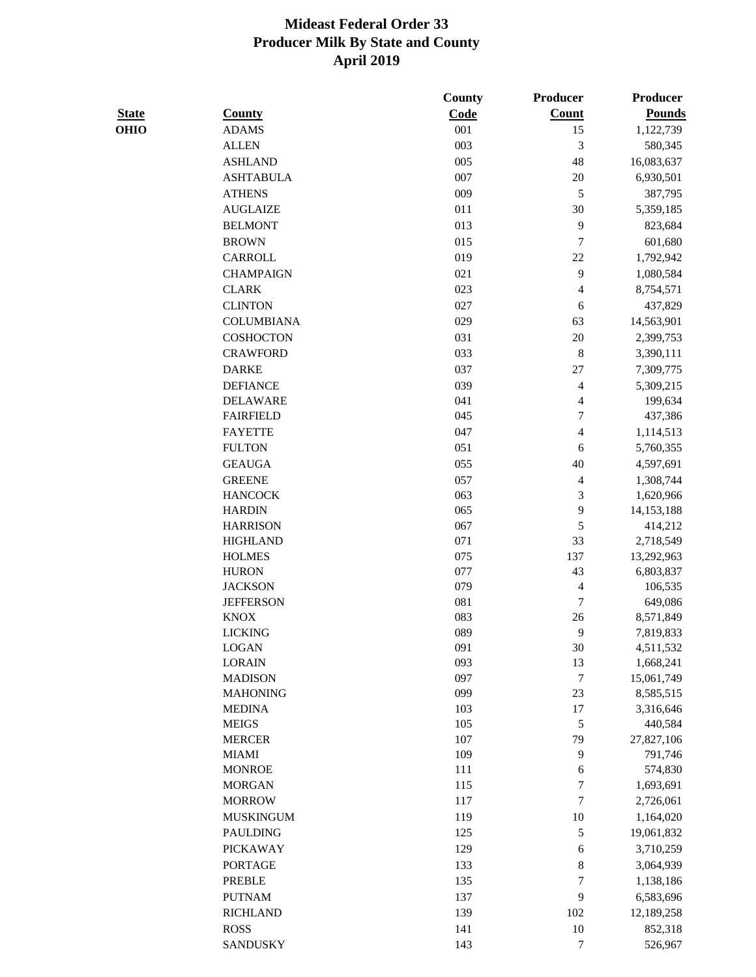| <b>State</b> | <b>County</b>                      | County<br>Code | Producer<br><b>Count</b> | <b>Producer</b><br><b>Pounds</b> |
|--------------|------------------------------------|----------------|--------------------------|----------------------------------|
| <b>OHIO</b>  | <b>ADAMS</b>                       | 001            | 15                       | 1,122,739                        |
|              | <b>ALLEN</b>                       | 003            | 3                        | 580,345                          |
|              | <b>ASHLAND</b>                     | 005            | 48                       | 16,083,637                       |
|              | <b>ASHTABULA</b>                   | 007            | $20\,$                   | 6,930,501                        |
|              | <b>ATHENS</b>                      | 009            | 5                        | 387,795                          |
|              | <b>AUGLAIZE</b>                    | 011            | $30\,$                   | 5,359,185                        |
|              | <b>BELMONT</b>                     | 013            | 9                        | 823,684                          |
|              | <b>BROWN</b>                       | 015            | 7                        | 601,680                          |
|              | CARROLL                            | 019            | $22\,$                   | 1,792,942                        |
|              | <b>CHAMPAIGN</b>                   | 021            | 9                        | 1,080,584                        |
|              | <b>CLARK</b>                       | 023            |                          |                                  |
|              | <b>CLINTON</b>                     | 027            | $\overline{\mathcal{L}}$ | 8,754,571                        |
|              |                                    |                | 6                        | 437,829                          |
|              | <b>COLUMBIANA</b>                  | 029            | 63                       | 14,563,901                       |
|              | <b>COSHOCTON</b>                   | 031            | $20\,$                   | 2,399,753                        |
|              | <b>CRAWFORD</b>                    | 033            | $\,8\,$                  | 3,390,111                        |
|              | <b>DARKE</b>                       | 037            | $27\,$                   | 7,309,775                        |
|              | <b>DEFIANCE</b>                    | 039            | 4                        | 5,309,215                        |
|              | <b>DELAWARE</b>                    | 041            | 4                        | 199,634                          |
|              | <b>FAIRFIELD</b>                   | 045            | 7                        | 437,386                          |
|              | <b>FAYETTE</b>                     | 047            | 4                        | 1,114,513                        |
|              | <b>FULTON</b>                      | 051            | 6                        | 5,760,355                        |
|              | <b>GEAUGA</b>                      | 055            | 40                       | 4,597,691                        |
|              | <b>GREENE</b>                      | 057            | 4                        | 1,308,744                        |
|              | <b>HANCOCK</b>                     | 063            | 3                        | 1,620,966                        |
|              | <b>HARDIN</b>                      | 065            | 9                        | 14,153,188                       |
|              | <b>HARRISON</b><br><b>HIGHLAND</b> | 067<br>071     | 5<br>33                  | 414,212                          |
|              | <b>HOLMES</b>                      | 075            | 137                      | 2,718,549<br>13,292,963          |
|              | <b>HURON</b>                       | 077            | 43                       | 6,803,837                        |
|              | <b>JACKSON</b>                     | 079            | 4                        | 106,535                          |
|              | <b>JEFFERSON</b>                   | 081            | 7                        | 649,086                          |
|              | <b>KNOX</b>                        | 083            | 26                       | 8,571,849                        |
|              | <b>LICKING</b>                     | 089            | 9                        | 7,819,833                        |
|              | LOGAN                              | 091            | 30                       | 4,511,532                        |
|              | <b>LORAIN</b>                      | 093            | 13                       | 1,668,241                        |
|              | <b>MADISON</b>                     | 097            | $\tau$                   | 15,061,749                       |
|              | <b>MAHONING</b>                    | 099            | 23                       | 8,585,515                        |
|              | <b>MEDINA</b>                      | 103            | 17                       | 3,316,646                        |
|              | <b>MEIGS</b>                       | 105            | $\sqrt{5}$               | 440,584                          |
|              | <b>MERCER</b>                      | 107            | 79                       | 27,827,106                       |
|              | <b>MIAMI</b>                       | 109            | 9                        | 791,746                          |
|              | <b>MONROE</b>                      | 111            | 6                        | 574,830                          |
|              | <b>MORGAN</b>                      | 115            | 7                        | 1,693,691                        |
|              | <b>MORROW</b>                      | 117            | 7                        | 2,726,061                        |
|              | <b>MUSKINGUM</b>                   | 119            | 10                       | 1,164,020                        |
|              | <b>PAULDING</b>                    | 125            | 5                        | 19,061,832                       |
|              | <b>PICKAWAY</b>                    | 129            | 6                        | 3,710,259                        |
|              | <b>PORTAGE</b>                     | 133            | $\,8$                    | 3,064,939                        |
|              | <b>PREBLE</b>                      | 135            | 7                        | 1,138,186                        |
|              | <b>PUTNAM</b>                      | 137            | 9                        | 6,583,696                        |
|              | <b>RICHLAND</b>                    | 139            | 102                      | 12,189,258                       |
|              | <b>ROSS</b>                        | 141            | $10\,$                   | 852,318                          |
|              | <b>SANDUSKY</b>                    | 143            | 7                        | 526,967                          |
|              |                                    |                |                          |                                  |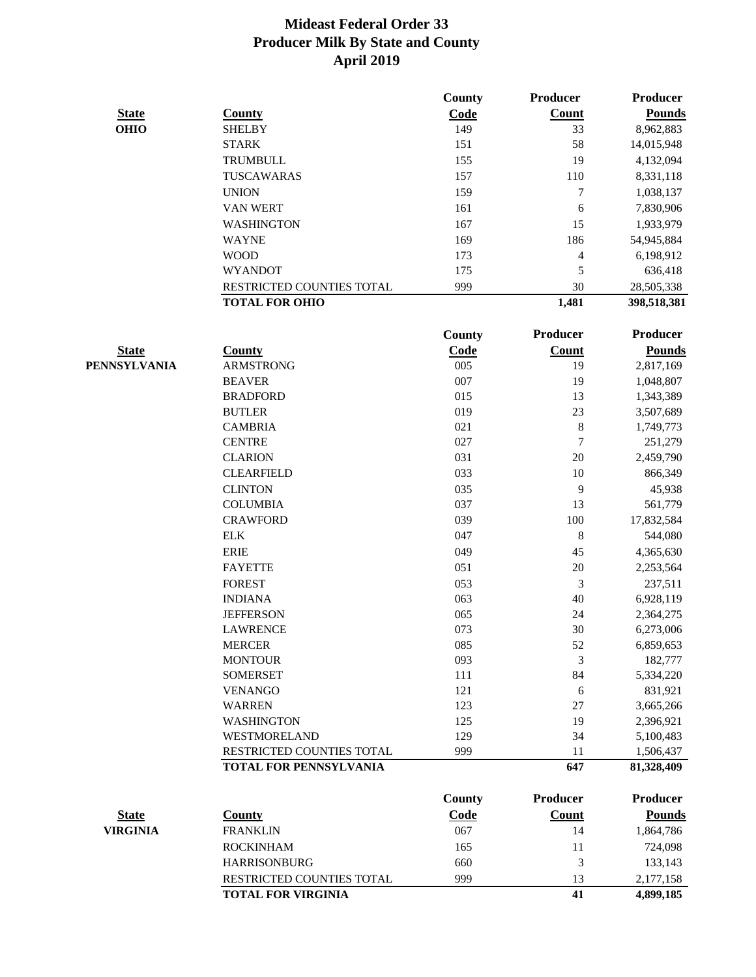|              |                               | <b>County</b> | Producer         | <b>Producer</b> |
|--------------|-------------------------------|---------------|------------------|-----------------|
| <b>State</b> | <b>County</b>                 | Code          | Count            | <b>Pounds</b>   |
| <b>OHIO</b>  | <b>SHELBY</b>                 | 149           | 33               | 8,962,883       |
|              | <b>STARK</b>                  | 151           | 58               | 14,015,948      |
|              | <b>TRUMBULL</b>               | 155           | 19               | 4,132,094       |
|              | TUSCAWARAS                    | 157           | 110              | 8,331,118       |
|              | <b>UNION</b>                  | 159           | $\tau$           | 1,038,137       |
|              | <b>VAN WERT</b>               | 161           | 6                | 7,830,906       |
|              | <b>WASHINGTON</b>             | 167           | 15               | 1,933,979       |
|              | <b>WAYNE</b>                  | 169           | 186              | 54,945,884      |
|              | <b>WOOD</b>                   | 173           | $\overline{4}$   | 6,198,912       |
|              | <b>WYANDOT</b>                | 175           | 5                | 636,418         |
|              | RESTRICTED COUNTIES TOTAL     | 999           | 30               | 28,505,338      |
|              | <b>TOTAL FOR OHIO</b>         |               | 1,481            | 398,518,381     |
|              |                               | County        | Producer         | <b>Producer</b> |
| <b>State</b> | <b>County</b>                 | Code          | <b>Count</b>     | <b>Pounds</b>   |
| PENNSYLVANIA | <b>ARMSTRONG</b>              | 005           | 19               | 2,817,169       |
|              | <b>BEAVER</b>                 | 007           | 19               | 1,048,807       |
|              | <b>BRADFORD</b>               | 015           | 13               | 1,343,389       |
|              | <b>BUTLER</b>                 | 019           | 23               | 3,507,689       |
|              | <b>CAMBRIA</b>                | 021           | $\,8\,$          | 1,749,773       |
|              | <b>CENTRE</b>                 | 027           | $\boldsymbol{7}$ | 251,279         |
|              | <b>CLARION</b>                | 031           | 20               | 2,459,790       |
|              | <b>CLEARFIELD</b>             | 033           | 10               | 866,349         |
|              | <b>CLINTON</b>                | 035           | 9                | 45,938          |
|              | <b>COLUMBIA</b>               | 037           | 13               | 561,779         |
|              | <b>CRAWFORD</b>               | 039           | 100              | 17,832,584      |
|              | <b>ELK</b>                    | 047           | $\,8\,$          | 544,080         |
|              | <b>ERIE</b>                   | 049           | 45               | 4,365,630       |
|              | <b>FAYETTE</b>                | 051           | 20               | 2,253,564       |
|              | <b>FOREST</b>                 | 053           | 3                | 237,511         |
|              | <b>INDIANA</b>                | 063           | 40               | 6,928,119       |
|              | <b>JEFFERSON</b>              | 065           | 24               | 2,364,275       |
|              | <b>LAWRENCE</b>               | 073           | 30               | 6,273,006       |
|              | <b>MERCER</b>                 | 085           | 52               | 6,859,653       |
|              | <b>MONTOUR</b>                | 093           | 3                | 182,777         |
|              | <b>SOMERSET</b>               | 111           | 84               | 5,334,220       |
|              | <b>VENANGO</b>                | 121           | 6                | 831,921         |
|              | <b>WARREN</b>                 | 123           | 27               | 3,665,266       |
|              | <b>WASHINGTON</b>             | 125           | 19               | 2,396,921       |
|              | WESTMORELAND                  | 129           | 34               | 5,100,483       |
|              | RESTRICTED COUNTIES TOTAL     | 999           | 11               | 1,506,437       |
|              | <b>TOTAL FOR PENNSYLVANIA</b> |               | 647              | 81,328,409      |
|              |                               | <b>County</b> | <b>Producer</b>  | <b>Producer</b> |

|                 |                                  | County      | Proqueer | Proqueer      |
|-----------------|----------------------------------|-------------|----------|---------------|
| <b>State</b>    | Countv                           | <u>Code</u> | Count    | <b>Pounds</b> |
| <b>VIRGINIA</b> | <b>FRANKLIN</b>                  | 067         | 14       | 1,864,786     |
|                 | <b>ROCKINHAM</b>                 | 165         | 11       | 724,098       |
|                 | <b>HARRISONBURG</b>              | 660         |          | 133,143       |
|                 | <b>RESTRICTED COUNTIES TOTAL</b> | 999         | 13       | 2,177,158     |
|                 | <b>TOTAL FOR VIRGINIA</b>        |             | 41       | 4,899,185     |